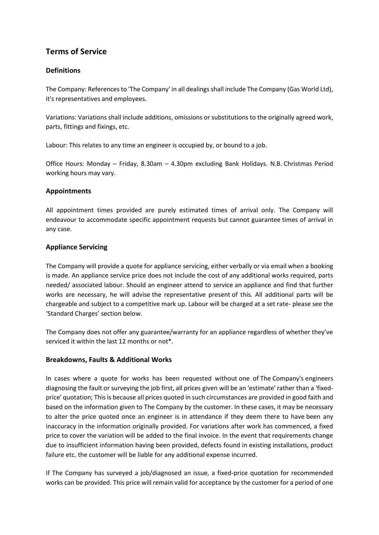# **Terms of Service**

# **Definitions**

The Company: References to 'The Company' in all dealings shall include The Company (Gas World Ltd), it's representatives and employees.

Variations: Variations shall include additions, omissions or substitutions to the originally agreed work, parts, fittings and fixings, etc.

Labour: This relates to any time an engineer is occupied by, or bound to a job.

Office Hours: Monday – Friday, 8.30am – 4.30pm excluding Bank Holidays. N.B. Christmas Period working hours may vary.

### **Appointments**

All appointment times provided are purely estimated times of arrival only. The Company will endeavour to accommodate specific appointment requests but cannot guarantee times of arrival in any case.

### **Appliance Servicing**

The Company will provide a quote for appliance servicing, either verbally or via email when a booking is made. An appliance service price does not include the cost of any additional works required, parts needed/ associated labour. Should an engineer attend to service an appliance and find that further works are necessary, he will advise the representative present of this. All additional parts will be chargeable and subject to a competitive mark up. Labour will be charged at a set rate- please see the 'Standard Charges' section below.

The Company does not offer any guarantee/warranty for an appliance regardless of whether they've serviced it within the last 12 months or not\*.

### **Breakdowns, Faults & Additional Works**

In cases where a quote for works has been requested without one of The Company's engineers diagnosing the fault or surveying the job first, all prices given will be an 'estimate' rather than a 'fixedprice' quotation; This is because all prices quoted in such circumstances are provided in good faith and based on the information given to The Company by the customer. In these cases, it may be necessary to alter the price quoted once an engineer is in attendance if they deem there to have been any inaccuracy in the information originally provided. For variations after work has commenced, a fixed price to cover the variation will be added to the final invoice. In the event that requirements change due to insufficient information having been provided, defects found in existing installations, product failure etc. the customer will be liable for any additional expense incurred.

If The Company has surveyed a job/diagnosed an issue, a fixed-price quotation for recommended works can be provided. This price will remain valid for acceptance by the customer for a period of one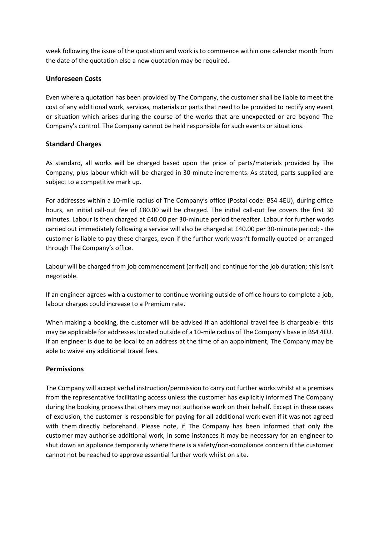week following the issue of the quotation and work is to commence within one calendar month from the date of the quotation else a new quotation may be required.

### **Unforeseen Costs**

Even where a quotation has been provided by The Company, the customer shall be liable to meet the cost of any additional work, services, materials or parts that need to be provided to rectify any event or situation which arises during the course of the works that are unexpected or are beyond The Company's control. The Company cannot be held responsible for such events or situations.

# **Standard Charges**

As standard, all works will be charged based upon the price of parts/materials provided by The Company, plus labour which will be charged in 30-minute increments. As stated, parts supplied are subject to a competitive mark up.

For addresses within a 10-mile radius of The Company's office (Postal code: BS4 4EU), during office hours, an initial call-out fee of £80.00 will be charged. The initial call-out fee covers the first 30 minutes. Labour is then charged at £40.00 per 30-minute period thereafter. Labour for further works carried out immediately following a service will also be charged at £40.00 per 30-minute period; - the customer is liable to pay these charges, even if the further work wasn't formally quoted or arranged through The Company's office.

Labour will be charged from job commencement (arrival) and continue for the job duration; this isn't negotiable.

If an engineer agrees with a customer to continue working outside of office hours to complete a job, labour charges could increase to a Premium rate.

When making a booking, the customer will be advised if an additional travel fee is chargeable- this may be applicable for addresses located outside of a 10-mile radius of The Company's base in BS4 4EU. If an engineer is due to be local to an address at the time of an appointment, The Company may be able to waive any additional travel fees.

### **Permissions**

The Company will accept verbal instruction/permission to carry out further works whilst at a premises from the representative facilitating access unless the customer has explicitly informed The Company during the booking process that others may not authorise work on their behalf. Except in these cases of exclusion, the customer is responsible for paying for all additional work even if it was not agreed with them directly beforehand. Please note, if The Company has been informed that only the customer may authorise additional work, in some instances it may be necessary for an engineer to shut down an appliance temporarily where there is a safety/non-compliance concern if the customer cannot not be reached to approve essential further work whilst on site.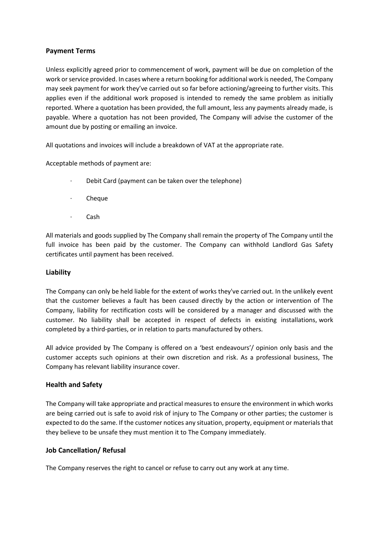### **Payment Terms**

Unless explicitly agreed prior to commencement of work, payment will be due on completion of the work or service provided. In cases where a return booking for additional work is needed, The Company may seek payment for work they've carried out so far before actioning/agreeing to further visits. This applies even if the additional work proposed is intended to remedy the same problem as initially reported. Where a quotation has been provided, the full amount, less any payments already made, is payable. Where a quotation has not been provided, The Company will advise the customer of the amount due by posting or emailing an invoice.

All quotations and invoices will include a breakdown of VAT at the appropriate rate.

Acceptable methods of payment are:

- Debit Card (payment can be taken over the telephone)
- · Cheque
- · Cash

All materials and goods supplied by The Company shall remain the property of The Company until the full invoice has been paid by the customer. The Company can withhold Landlord Gas Safety certificates until payment has been received.

### **Liability**

The Company can only be held liable for the extent of works they've carried out. In the unlikely event that the customer believes a fault has been caused directly by the action or intervention of The Company, liability for rectification costs will be considered by a manager and discussed with the customer. No liability shall be accepted in respect of defects in existing installations, work completed by a third-parties, or in relation to parts manufactured by others.

All advice provided by The Company is offered on a 'best endeavours'/ opinion only basis and the customer accepts such opinions at their own discretion and risk. As a professional business, The Company has relevant liability insurance cover.

### **Health and Safety**

The Company will take appropriate and practical measures to ensure the environment in which works are being carried out is safe to avoid risk of injury to The Company or other parties; the customer is expected to do the same. If the customer notices any situation, property, equipment or materials that they believe to be unsafe they must mention it to The Company immediately.

### **Job Cancellation/ Refusal**

The Company reserves the right to cancel or refuse to carry out any work at any time.